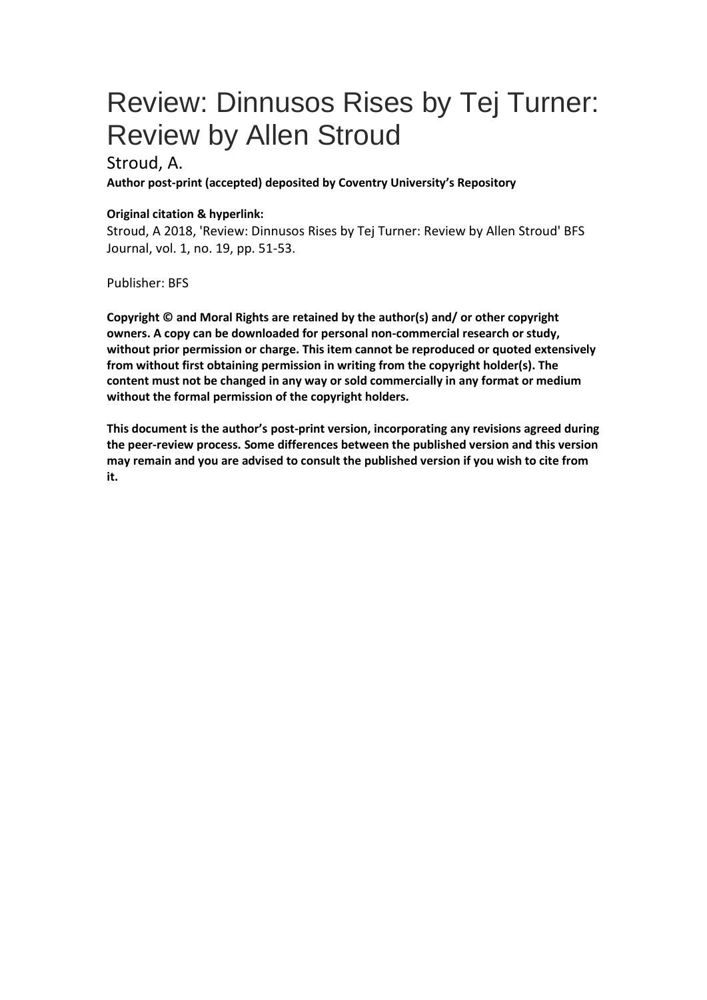## Review: Dinnusos Rises by Tej Turner: Review by Allen Stroud

## Stroud, A.

**Author post-print (accepted) deposited by Coventry University's Repository**

## **Original citation & hyperlink:**

Stroud, A 2018, 'Review: Dinnusos Rises by Tej Turner: Review by Allen Stroud' BFS Journal, vol. 1, no. 19, pp. 51-53.

Publisher: BFS

**Copyright © and Moral Rights are retained by the author(s) and/ or other copyright owners. A copy can be downloaded for personal non-commercial research or study, without prior permission or charge. This item cannot be reproduced or quoted extensively from without first obtaining permission in writing from the copyright holder(s). The content must not be changed in any way or sold commercially in any format or medium without the formal permission of the copyright holders.** 

**This document is the author's post-print version, incorporating any revisions agreed during the peer-review process. Some differences between the published version and this version may remain and you are advised to consult the published version if you wish to cite from it.**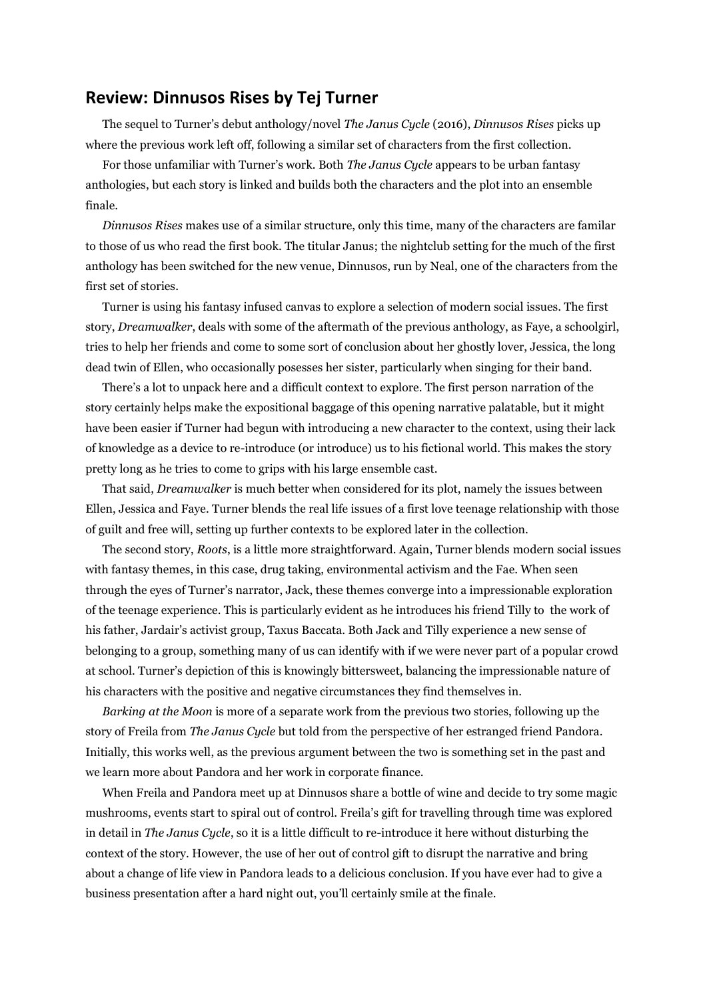## **Review: Dinnusos Rises by Tej Turner**

The sequel to Turner's debut anthology/novel *The Janus Cycle* (2016), *Dinnusos Rises* picks up where the previous work left off, following a similar set of characters from the first collection.

For those unfamiliar with Turner's work. Both *The Janus Cycle* appears to be urban fantasy anthologies, but each story is linked and builds both the characters and the plot into an ensemble finale.

*Dinnusos Rises* makes use of a similar structure, only this time, many of the characters are familar to those of us who read the first book. The titular Janus; the nightclub setting for the much of the first anthology has been switched for the new venue, Dinnusos, run by Neal, one of the characters from the first set of stories.

Turner is using his fantasy infused canvas to explore a selection of modern social issues. The first story, *Dreamwalker*, deals with some of the aftermath of the previous anthology, as Faye, a schoolgirl, tries to help her friends and come to some sort of conclusion about her ghostly lover, Jessica, the long dead twin of Ellen, who occasionally posesses her sister, particularly when singing for their band.

There's a lot to unpack here and a difficult context to explore. The first person narration of the story certainly helps make the expositional baggage of this opening narrative palatable, but it might have been easier if Turner had begun with introducing a new character to the context, using their lack of knowledge as a device to re-introduce (or introduce) us to his fictional world. This makes the story pretty long as he tries to come to grips with his large ensemble cast.

That said, *Dreamwalker* is much better when considered for its plot, namely the issues between Ellen, Jessica and Faye. Turner blends the real life issues of a first love teenage relationship with those of guilt and free will, setting up further contexts to be explored later in the collection.

The second story, *Roots*, is a little more straightforward. Again, Turner blends modern social issues with fantasy themes, in this case, drug taking, environmental activism and the Fae. When seen through the eyes of Turner's narrator, Jack, these themes converge into a impressionable exploration of the teenage experience. This is particularly evident as he introduces his friend Tilly to the work of his father, Jardair's activist group, Taxus Baccata. Both Jack and Tilly experience a new sense of belonging to a group, something many of us can identify with if we were never part of a popular crowd at school. Turner's depiction of this is knowingly bittersweet, balancing the impressionable nature of his characters with the positive and negative circumstances they find themselves in.

*Barking at the Moon* is more of a separate work from the previous two stories, following up the story of Freila from *The Janus Cycle* but told from the perspective of her estranged friend Pandora. Initially, this works well, as the previous argument between the two is something set in the past and we learn more about Pandora and her work in corporate finance.

When Freila and Pandora meet up at Dinnusos share a bottle of wine and decide to try some magic mushrooms, events start to spiral out of control. Freila's gift for travelling through time was explored in detail in *The Janus Cycle*, so it is a little difficult to re-introduce it here without disturbing the context of the story. However, the use of her out of control gift to disrupt the narrative and bring about a change of life view in Pandora leads to a delicious conclusion. If you have ever had to give a business presentation after a hard night out, you'll certainly smile at the finale.